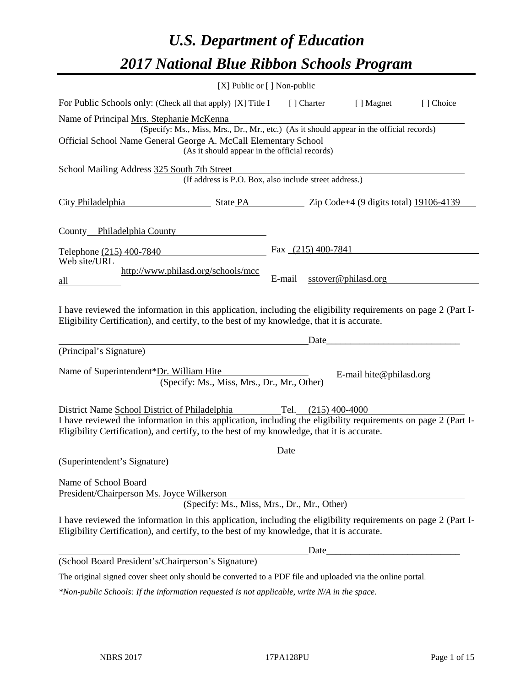# *U.S. Department of Education 2017 National Blue Ribbon Schools Program*

|                                                                                                                                                                                                              | $[X]$ Public or $[ ]$ Non-public                                                         |        |                      |                         |            |
|--------------------------------------------------------------------------------------------------------------------------------------------------------------------------------------------------------------|------------------------------------------------------------------------------------------|--------|----------------------|-------------------------|------------|
| For Public Schools only: (Check all that apply) [X] Title I                                                                                                                                                  |                                                                                          |        | [] Charter           | [ ] Magnet              | [ ] Choice |
| Name of Principal Mrs. Stephanie McKenna                                                                                                                                                                     |                                                                                          |        |                      |                         |            |
|                                                                                                                                                                                                              | (Specify: Ms., Miss, Mrs., Dr., Mr., etc.) (As it should appear in the official records) |        |                      |                         |            |
| Official School Name General George A. McCall Elementary School                                                                                                                                              | (As it should appear in the official records)                                            |        |                      |                         |            |
|                                                                                                                                                                                                              |                                                                                          |        |                      |                         |            |
| School Mailing Address 325 South 7th Street                                                                                                                                                                  | (If address is P.O. Box, also include street address.)                                   |        |                      |                         |            |
|                                                                                                                                                                                                              |                                                                                          |        |                      |                         |            |
|                                                                                                                                                                                                              |                                                                                          |        |                      |                         |            |
|                                                                                                                                                                                                              |                                                                                          |        |                      |                         |            |
| County Philadelphia County                                                                                                                                                                                   |                                                                                          |        |                      |                         |            |
| Telephone (215) 400-7840                                                                                                                                                                                     |                                                                                          |        | Fax $(215)$ 400-7841 |                         |            |
| Web site/URL                                                                                                                                                                                                 |                                                                                          |        |                      |                         |            |
| all                                                                                                                                                                                                          | http://www.philasd.org/schools/mcc                                                       | E-mail |                      | sstover@philasd.org     |            |
|                                                                                                                                                                                                              |                                                                                          |        |                      |                         |            |
| I have reviewed the information in this application, including the eligibility requirements on page 2 (Part I-<br>Eligibility Certification), and certify, to the best of my knowledge, that it is accurate. |                                                                                          |        |                      |                         |            |
|                                                                                                                                                                                                              |                                                                                          |        | Date                 |                         |            |
| (Principal's Signature)                                                                                                                                                                                      |                                                                                          |        |                      |                         |            |
| Name of Superintendent*Dr. William Hite                                                                                                                                                                      |                                                                                          |        |                      |                         |            |
|                                                                                                                                                                                                              | (Specify: Ms., Miss, Mrs., Dr., Mr., Other)                                              |        |                      | E-mail hite@philasd.org |            |
|                                                                                                                                                                                                              |                                                                                          |        |                      |                         |            |
| District Name School District of Philadelphia                                                                                                                                                                |                                                                                          |        | Tel. (215) 400-4000  |                         |            |
| I have reviewed the information in this application, including the eligibility requirements on page 2 (Part I-<br>Eligibility Certification), and certify, to the best of my knowledge, that it is accurate. |                                                                                          |        |                      |                         |            |
|                                                                                                                                                                                                              |                                                                                          | Date   |                      |                         |            |
| (Superintendent's Signature)                                                                                                                                                                                 |                                                                                          |        |                      |                         |            |
| Name of School Board<br>President/Chairperson Ms. Joyce Wilkerson                                                                                                                                            |                                                                                          |        |                      |                         |            |
|                                                                                                                                                                                                              | (Specify: Ms., Miss, Mrs., Dr., Mr., Other)                                              |        |                      |                         |            |
| I have reviewed the information in this application, including the eligibility requirements on page 2 (Part I-<br>Eligibility Certification), and certify, to the best of my knowledge, that it is accurate. |                                                                                          |        |                      |                         |            |
|                                                                                                                                                                                                              |                                                                                          |        | Date                 |                         |            |
| (School Board President's/Chairperson's Signature)                                                                                                                                                           |                                                                                          |        |                      |                         |            |
| The original signed cover sheet only should be converted to a PDF file and uploaded via the online portal.                                                                                                   |                                                                                          |        |                      |                         |            |

*\*Non-public Schools: If the information requested is not applicable, write N/A in the space.*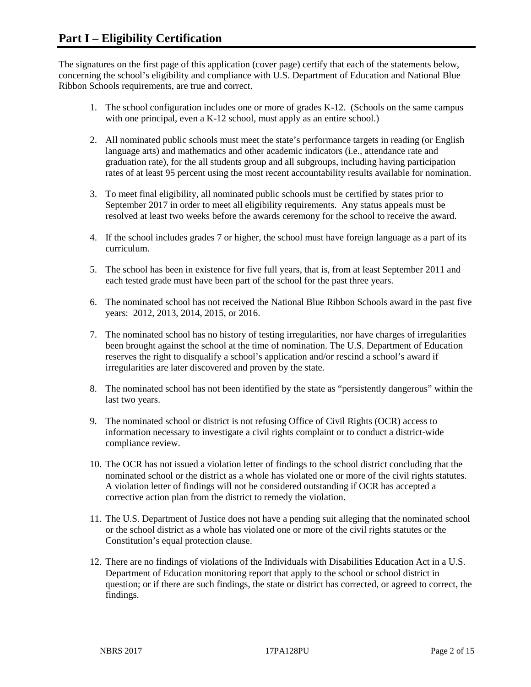The signatures on the first page of this application (cover page) certify that each of the statements below, concerning the school's eligibility and compliance with U.S. Department of Education and National Blue Ribbon Schools requirements, are true and correct.

- 1. The school configuration includes one or more of grades K-12. (Schools on the same campus with one principal, even a K-12 school, must apply as an entire school.)
- 2. All nominated public schools must meet the state's performance targets in reading (or English language arts) and mathematics and other academic indicators (i.e., attendance rate and graduation rate), for the all students group and all subgroups, including having participation rates of at least 95 percent using the most recent accountability results available for nomination.
- 3. To meet final eligibility, all nominated public schools must be certified by states prior to September 2017 in order to meet all eligibility requirements. Any status appeals must be resolved at least two weeks before the awards ceremony for the school to receive the award.
- 4. If the school includes grades 7 or higher, the school must have foreign language as a part of its curriculum.
- 5. The school has been in existence for five full years, that is, from at least September 2011 and each tested grade must have been part of the school for the past three years.
- 6. The nominated school has not received the National Blue Ribbon Schools award in the past five years: 2012, 2013, 2014, 2015, or 2016.
- 7. The nominated school has no history of testing irregularities, nor have charges of irregularities been brought against the school at the time of nomination. The U.S. Department of Education reserves the right to disqualify a school's application and/or rescind a school's award if irregularities are later discovered and proven by the state.
- 8. The nominated school has not been identified by the state as "persistently dangerous" within the last two years.
- 9. The nominated school or district is not refusing Office of Civil Rights (OCR) access to information necessary to investigate a civil rights complaint or to conduct a district-wide compliance review.
- 10. The OCR has not issued a violation letter of findings to the school district concluding that the nominated school or the district as a whole has violated one or more of the civil rights statutes. A violation letter of findings will not be considered outstanding if OCR has accepted a corrective action plan from the district to remedy the violation.
- 11. The U.S. Department of Justice does not have a pending suit alleging that the nominated school or the school district as a whole has violated one or more of the civil rights statutes or the Constitution's equal protection clause.
- 12. There are no findings of violations of the Individuals with Disabilities Education Act in a U.S. Department of Education monitoring report that apply to the school or school district in question; or if there are such findings, the state or district has corrected, or agreed to correct, the findings.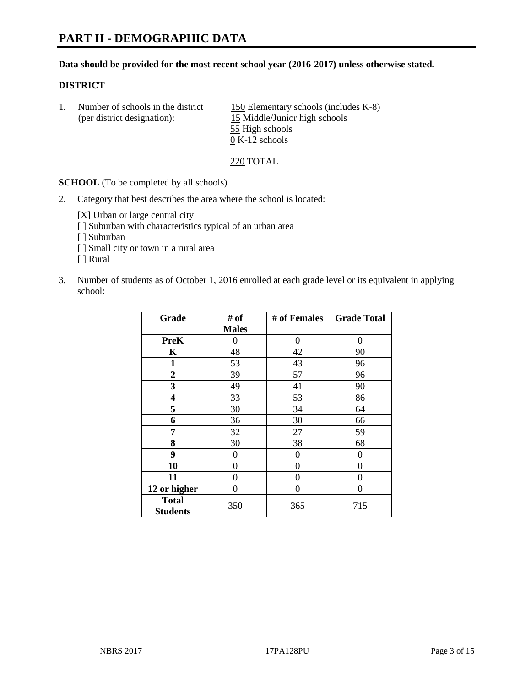# **PART II - DEMOGRAPHIC DATA**

#### **Data should be provided for the most recent school year (2016-2017) unless otherwise stated.**

#### **DISTRICT**

1. Number of schools in the district  $150$  Elementary schools (includes K-8) (per district designation): 15 Middle/Junior high schools 55 High schools 0 K-12 schools

220 TOTAL

**SCHOOL** (To be completed by all schools)

2. Category that best describes the area where the school is located:

[X] Urban or large central city [ ] Suburban with characteristics typical of an urban area

- [ ] Suburban
- [ ] Small city or town in a rural area
- [ ] Rural
- 3. Number of students as of October 1, 2016 enrolled at each grade level or its equivalent in applying school:

| Grade                           | # of         | # of Females | <b>Grade Total</b> |
|---------------------------------|--------------|--------------|--------------------|
|                                 | <b>Males</b> |              |                    |
| <b>PreK</b>                     | 0            | 0            | 0                  |
| K                               | 48           | 42           | 90                 |
| 1                               | 53           | 43           | 96                 |
| $\overline{2}$                  | 39           | 57           | 96                 |
| 3                               | 49           | 41           | 90                 |
| 4                               | 33           | 53           | 86                 |
| 5                               | 30           | 34           | 64                 |
| 6                               | 36           | 30           | 66                 |
| 7                               | 32           | 27           | 59                 |
| 8                               | 30           | 38           | 68                 |
| 9                               | 0            | 0            | $\Omega$           |
| 10                              | 0            | 0            | 0                  |
| 11                              | 0            | 0            | 0                  |
| 12 or higher                    | 0            | 0            | $\theta$           |
| <b>Total</b><br><b>Students</b> | 350          | 365          | 715                |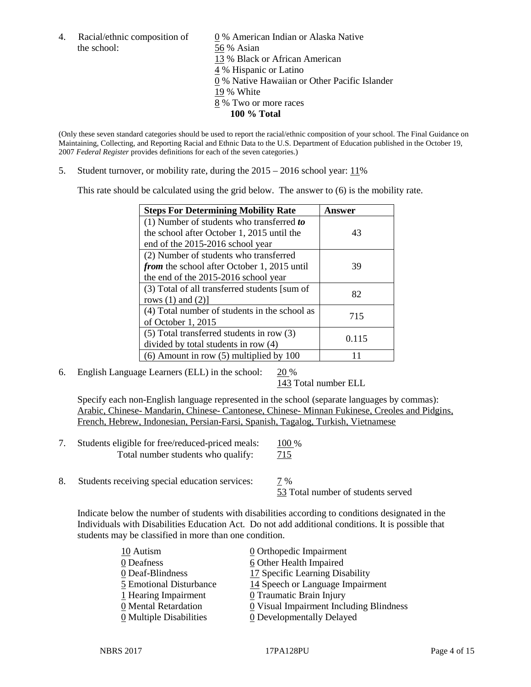the school: 56 % Asian

4. Racial/ethnic composition of  $\qquad \qquad \underline{0}$  % American Indian or Alaska Native 13 % Black or African American 4 % Hispanic or Latino 0 % Native Hawaiian or Other Pacific Islander 19 % White 8 % Two or more races **100 % Total**

(Only these seven standard categories should be used to report the racial/ethnic composition of your school. The Final Guidance on Maintaining, Collecting, and Reporting Racial and Ethnic Data to the U.S. Department of Education published in the October 19, 2007 *Federal Register* provides definitions for each of the seven categories.)

5. Student turnover, or mobility rate, during the 2015 – 2016 school year: 11%

This rate should be calculated using the grid below. The answer to (6) is the mobility rate.

| <b>Steps For Determining Mobility Rate</b>    | Answer |
|-----------------------------------------------|--------|
| (1) Number of students who transferred to     |        |
| the school after October 1, 2015 until the    | 43     |
| end of the 2015-2016 school year              |        |
| (2) Number of students who transferred        |        |
| from the school after October 1, 2015 until   | 39     |
| the end of the 2015-2016 school year          |        |
| (3) Total of all transferred students [sum of | 82     |
| rows $(1)$ and $(2)$ ]                        |        |
| (4) Total number of students in the school as | 715    |
| of October 1, 2015                            |        |
| $(5)$ Total transferred students in row $(3)$ |        |
| divided by total students in row (4)          | 0.115  |
| $(6)$ Amount in row $(5)$ multiplied by 100   |        |

6. English Language Learners (ELL) in the school:  $20\%$ 

143 Total number ELL

Specify each non-English language represented in the school (separate languages by commas): Arabic, Chinese- Mandarin, Chinese- Cantonese, Chinese- Minnan Fukinese, Creoles and Pidgins, French, Hebrew, Indonesian, Persian-Farsi, Spanish, Tagalog, Turkish, Vietnamese

| Students eligible for free/reduced-priced meals: | 100 %      |
|--------------------------------------------------|------------|
| Total number students who qualify:               | <u>715</u> |

8. Students receiving special education services:  $\frac{7}{8}$ 53 Total number of students served

Indicate below the number of students with disabilities according to conditions designated in the Individuals with Disabilities Education Act. Do not add additional conditions. It is possible that students may be classified in more than one condition.

| 10 Autism                             | 0 Orthopedic Impairment                   |
|---------------------------------------|-------------------------------------------|
| 0 Deafness                            | 6 Other Health Impaired                   |
| 0 Deaf-Blindness                      | 17 Specific Learning Disability           |
| 5 Emotional Disturbance               | 14 Speech or Language Impairment          |
| 1 Hearing Impairment                  | 0 Traumatic Brain Injury                  |
| 0 Mental Retardation                  | $Q$ Visual Impairment Including Blindness |
| $\underline{0}$ Multiple Disabilities | <b>0</b> Developmentally Delayed          |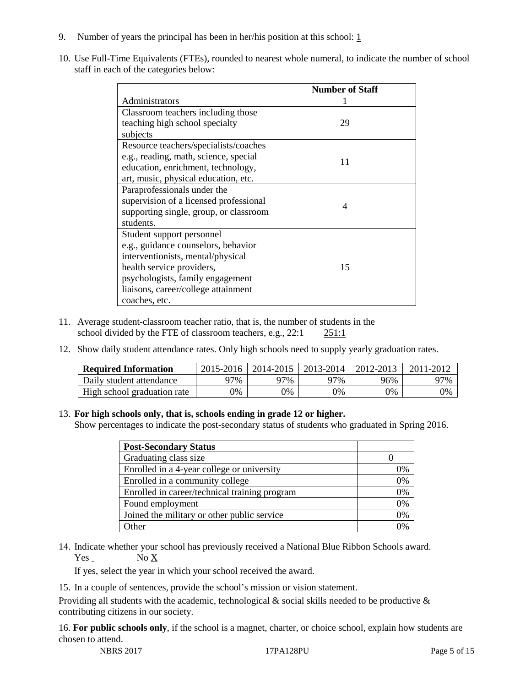- 9. Number of years the principal has been in her/his position at this school:  $1$
- 10. Use Full-Time Equivalents (FTEs), rounded to nearest whole numeral, to indicate the number of school staff in each of the categories below:

|                                        | <b>Number of Staff</b> |
|----------------------------------------|------------------------|
| Administrators                         |                        |
| Classroom teachers including those     |                        |
| teaching high school specialty         | 29                     |
| subjects                               |                        |
| Resource teachers/specialists/coaches  |                        |
| e.g., reading, math, science, special  | 11                     |
| education, enrichment, technology,     |                        |
| art, music, physical education, etc.   |                        |
| Paraprofessionals under the            |                        |
| supervision of a licensed professional | 4                      |
| supporting single, group, or classroom |                        |
| students.                              |                        |
| Student support personnel              |                        |
| e.g., guidance counselors, behavior    |                        |
| interventionists, mental/physical      |                        |
| health service providers,              | 15                     |
| psychologists, family engagement       |                        |
| liaisons, career/college attainment    |                        |
| coaches, etc.                          |                        |

- 11. Average student-classroom teacher ratio, that is, the number of students in the school divided by the FTE of classroom teachers, e.g., 22:1 251:1
- 12. Show daily student attendance rates. Only high schools need to supply yearly graduation rates.

| <b>Required Information</b> | 2015-2016 | 2014-2015 | 2013-2014 | 2012-2013 |     |
|-----------------------------|-----------|-----------|-----------|-----------|-----|
| Daily student attendance    | า7%       | 97%       | 97%       | 96%       | 97% |
| High school graduation rate | 0%        | 0%        | 0%        | 9%        | 0%  |

#### 13. **For high schools only, that is, schools ending in grade 12 or higher.**

Show percentages to indicate the post-secondary status of students who graduated in Spring 2016.

| <b>Post-Secondary Status</b>                  |    |
|-----------------------------------------------|----|
| Graduating class size                         |    |
| Enrolled in a 4-year college or university    | 0% |
| Enrolled in a community college               | 0% |
| Enrolled in career/technical training program | 0% |
| Found employment                              | 0% |
| Joined the military or other public service   | 0% |
| )ther                                         |    |

14. Indicate whether your school has previously received a National Blue Ribbon Schools award.  $Yes$  No  $X$ 

If yes, select the year in which your school received the award.

15. In a couple of sentences, provide the school's mission or vision statement.

Providing all students with the academic, technological  $\&$  social skills needed to be productive  $\&$ contributing citizens in our society.

16. **For public schools only**, if the school is a magnet, charter, or choice school, explain how students are chosen to attend.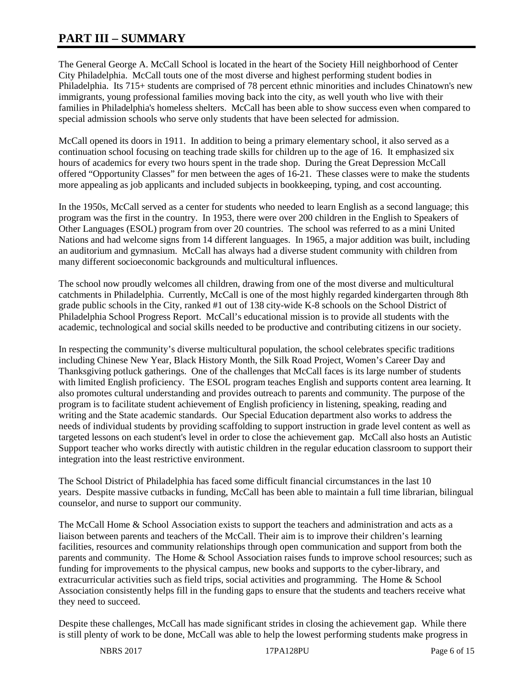# **PART III – SUMMARY**

The General George A. McCall School is located in the heart of the Society Hill neighborhood of Center City Philadelphia. McCall touts one of the most diverse and highest performing student bodies in Philadelphia. Its 715+ students are comprised of 78 percent ethnic minorities and includes Chinatown's new immigrants, young professional families moving back into the city, as well youth who live with their families in Philadelphia's homeless shelters. McCall has been able to show success even when compared to special admission schools who serve only students that have been selected for admission.

McCall opened its doors in 1911. In addition to being a primary elementary school, it also served as a continuation school focusing on teaching trade skills for children up to the age of 16. It emphasized six hours of academics for every two hours spent in the trade shop. During the Great Depression McCall offered "Opportunity Classes" for men between the ages of 16-21. These classes were to make the students more appealing as job applicants and included subjects in bookkeeping, typing, and cost accounting.

In the 1950s, McCall served as a center for students who needed to learn English as a second language; this program was the first in the country. In 1953, there were over 200 children in the English to Speakers of Other Languages (ESOL) program from over 20 countries. The school was referred to as a mini United Nations and had welcome signs from 14 different languages. In 1965, a major addition was built, including an auditorium and gymnasium. McCall has always had a diverse student community with children from many different socioeconomic backgrounds and multicultural influences.

The school now proudly welcomes all children, drawing from one of the most diverse and multicultural catchments in Philadelphia. Currently, McCall is one of the most highly regarded kindergarten through 8th grade public schools in the City, ranked #1 out of 138 city-wide K-8 schools on the School District of Philadelphia School Progress Report. McCall's educational mission is to provide all students with the academic, technological and social skills needed to be productive and contributing citizens in our society.

In respecting the community's diverse multicultural population, the school celebrates specific traditions including Chinese New Year, Black History Month, the Silk Road Project, Women's Career Day and Thanksgiving potluck gatherings. One of the challenges that McCall faces is its large number of students with limited English proficiency. The ESOL program teaches English and supports content area learning. It also promotes cultural understanding and provides outreach to parents and community. The purpose of the program is to facilitate student achievement of English proficiency in listening, speaking, reading and writing and the State academic standards. Our Special Education department also works to address the needs of individual students by providing scaffolding to support instruction in grade level content as well as targeted lessons on each student's level in order to close the achievement gap. McCall also hosts an Autistic Support teacher who works directly with autistic children in the regular education classroom to support their integration into the least restrictive environment.

The School District of Philadelphia has faced some difficult financial circumstances in the last 10 years. Despite massive cutbacks in funding, McCall has been able to maintain a full time librarian, bilingual counselor, and nurse to support our community.

The McCall Home & School Association exists to support the teachers and administration and acts as a liaison between parents and teachers of the McCall. Their aim is to improve their children's learning facilities, resources and community relationships through open communication and support from both the parents and community. The Home & School Association raises funds to improve school resources; such as funding for improvements to the physical campus, new books and supports to the cyber-library, and extracurricular activities such as field trips, social activities and programming. The Home & School Association consistently helps fill in the funding gaps to ensure that the students and teachers receive what they need to succeed.

Despite these challenges, McCall has made significant strides in closing the achievement gap. While there is still plenty of work to be done, McCall was able to help the lowest performing students make progress in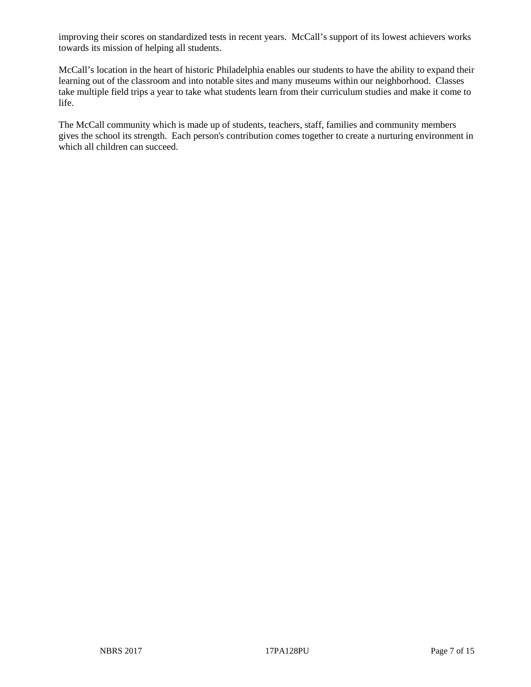improving their scores on standardized tests in recent years. McCall's support of its lowest achievers works towards its mission of helping all students.

McCall's location in the heart of historic Philadelphia enables our students to have the ability to expand their learning out of the classroom and into notable sites and many museums within our neighborhood. Classes take multiple field trips a year to take what students learn from their curriculum studies and make it come to life.

The McCall community which is made up of students, teachers, staff, families and community members gives the school its strength. Each person's contribution comes together to create a nurturing environment in which all children can succeed.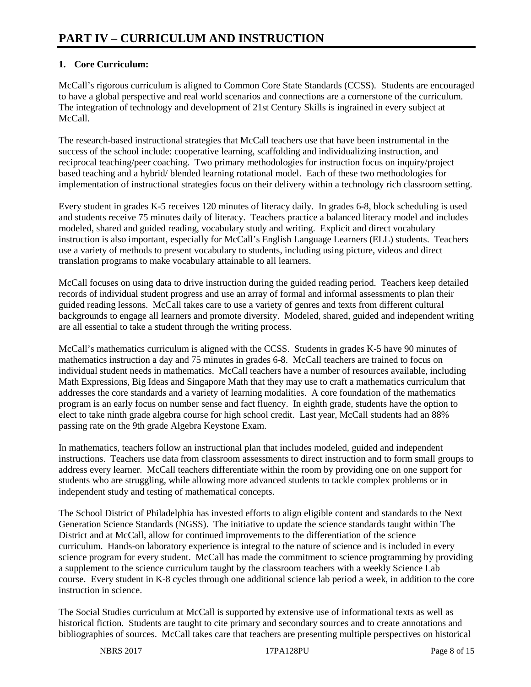# **1. Core Curriculum:**

McCall's rigorous curriculum is aligned to Common Core State Standards (CCSS). Students are encouraged to have a global perspective and real world scenarios and connections are a cornerstone of the curriculum. The integration of technology and development of 21st Century Skills is ingrained in every subject at McCall.

The research-based instructional strategies that McCall teachers use that have been instrumental in the success of the school include: cooperative learning, scaffolding and individualizing instruction, and reciprocal teaching/peer coaching. Two primary methodologies for instruction focus on inquiry/project based teaching and a hybrid/ blended learning rotational model. Each of these two methodologies for implementation of instructional strategies focus on their delivery within a technology rich classroom setting.

Every student in grades K-5 receives 120 minutes of literacy daily. In grades 6-8, block scheduling is used and students receive 75 minutes daily of literacy. Teachers practice a balanced literacy model and includes modeled, shared and guided reading, vocabulary study and writing. Explicit and direct vocabulary instruction is also important, especially for McCall's English Language Learners (ELL) students. Teachers use a variety of methods to present vocabulary to students, including using picture, videos and direct translation programs to make vocabulary attainable to all learners.

McCall focuses on using data to drive instruction during the guided reading period. Teachers keep detailed records of individual student progress and use an array of formal and informal assessments to plan their guided reading lessons. McCall takes care to use a variety of genres and texts from different cultural backgrounds to engage all learners and promote diversity. Modeled, shared, guided and independent writing are all essential to take a student through the writing process.

McCall's mathematics curriculum is aligned with the CCSS. Students in grades K-5 have 90 minutes of mathematics instruction a day and 75 minutes in grades 6-8. McCall teachers are trained to focus on individual student needs in mathematics. McCall teachers have a number of resources available, including Math Expressions, Big Ideas and Singapore Math that they may use to craft a mathematics curriculum that addresses the core standards and a variety of learning modalities. A core foundation of the mathematics program is an early focus on number sense and fact fluency. In eighth grade, students have the option to elect to take ninth grade algebra course for high school credit. Last year, McCall students had an 88% passing rate on the 9th grade Algebra Keystone Exam.

In mathematics, teachers follow an instructional plan that includes modeled, guided and independent instructions. Teachers use data from classroom assessments to direct instruction and to form small groups to address every learner. McCall teachers differentiate within the room by providing one on one support for students who are struggling, while allowing more advanced students to tackle complex problems or in independent study and testing of mathematical concepts.

The School District of Philadelphia has invested efforts to align eligible content and standards to the Next Generation Science Standards (NGSS). The initiative to update the science standards taught within The District and at McCall, allow for continued improvements to the differentiation of the science curriculum. Hands-on laboratory experience is integral to the nature of science and is included in every science program for every student. McCall has made the commitment to science programming by providing a supplement to the science curriculum taught by the classroom teachers with a weekly Science Lab course. Every student in K-8 cycles through one additional science lab period a week, in addition to the core instruction in science.

The Social Studies curriculum at McCall is supported by extensive use of informational texts as well as historical fiction. Students are taught to cite primary and secondary sources and to create annotations and bibliographies of sources. McCall takes care that teachers are presenting multiple perspectives on historical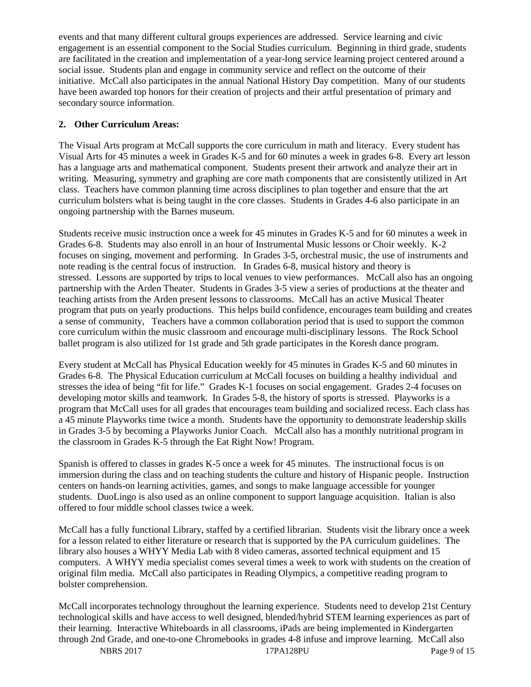events and that many different cultural groups experiences are addressed. Service learning and civic engagement is an essential component to the Social Studies curriculum. Beginning in third grade, students are facilitated in the creation and implementation of a year-long service learning project centered around a social issue. Students plan and engage in community service and reflect on the outcome of their initiative. McCall also participates in the annual National History Day competition. Many of our students have been awarded top honors for their creation of projects and their artful presentation of primary and secondary source information.

## **2. Other Curriculum Areas:**

The Visual Arts program at McCall supports the core curriculum in math and literacy. Every student has Visual Arts for 45 minutes a week in Grades K-5 and for 60 minutes a week in grades 6-8. Every art lesson has a language arts and mathematical component. Students present their artwork and analyze their art in writing. Measuring, symmetry and graphing are core math components that are consistently utilized in Art class. Teachers have common planning time across disciplines to plan together and ensure that the art curriculum bolsters what is being taught in the core classes. Students in Grades 4-6 also participate in an ongoing partnership with the Barnes museum.

Students receive music instruction once a week for 45 minutes in Grades K-5 and for 60 minutes a week in Grades 6-8. Students may also enroll in an hour of Instrumental Music lessons or Choir weekly. K-2 focuses on singing, movement and performing. In Grades 3-5, orchestral music, the use of instruments and note reading is the central focus of instruction. In Grades 6-8, musical history and theory is stressed. Lessons are supported by trips to local venues to view performances. McCall also has an ongoing partnership with the Arden Theater. Students in Grades 3-5 view a series of productions at the theater and teaching artists from the Arden present lessons to classrooms. McCall has an active Musical Theater program that puts on yearly productions. This helps build confidence, encourages team building and creates a sense of community, Teachers have a common collaboration period that is used to support the common core curriculum within the music classroom and encourage multi-disciplinary lessons. The Rock School ballet program is also utilized for 1st grade and 5th grade participates in the Koresh dance program.

Every student at McCall has Physical Education weekly for 45 minutes in Grades K-5 and 60 minutes in Grades 6-8. The Physical Education curriculum at McCall focuses on building a healthy individual and stresses the idea of being "fit for life." Grades K-1 focuses on social engagement. Grades 2-4 focuses on developing motor skills and teamwork. In Grades 5-8, the history of sports is stressed. Playworks is a program that McCall uses for all grades that encourages team building and socialized recess. Each class has a 45 minute Playworks time twice a month. Students have the opportunity to demonstrate leadership skills in Grades 3-5 by becoming a Playworks Junior Coach. McCall also has a monthly nutritional program in the classroom in Grades K-5 through the Eat Right Now! Program.

Spanish is offered to classes in grades K-5 once a week for 45 minutes. The instructional focus is on immersion during the class and on teaching students the culture and history of Hispanic people. Instruction centers on hands-on learning activities, games, and songs to make language accessible for younger students. DuoLingo is also used as an online component to support language acquisition. Italian is also offered to four middle school classes twice a week.

McCall has a fully functional Library, staffed by a certified librarian. Students visit the library once a week for a lesson related to either literature or research that is supported by the PA curriculum guidelines. The library also houses a WHYY Media Lab with 8 video cameras, assorted technical equipment and 15 computers. A WHYY media specialist comes several times a week to work with students on the creation of original film media. McCall also participates in Reading Olympics, a competitive reading program to bolster comprehension.

McCall incorporates technology throughout the learning experience. Students need to develop 21st Century technological skills and have access to well designed, blended/hybrid STEM learning experiences as part of their learning. Interactive Whiteboards in all classrooms, iPads are being implemented in Kindergarten through 2nd Grade, and one-to-one Chromebooks in grades 4-8 infuse and improve learning. McCall also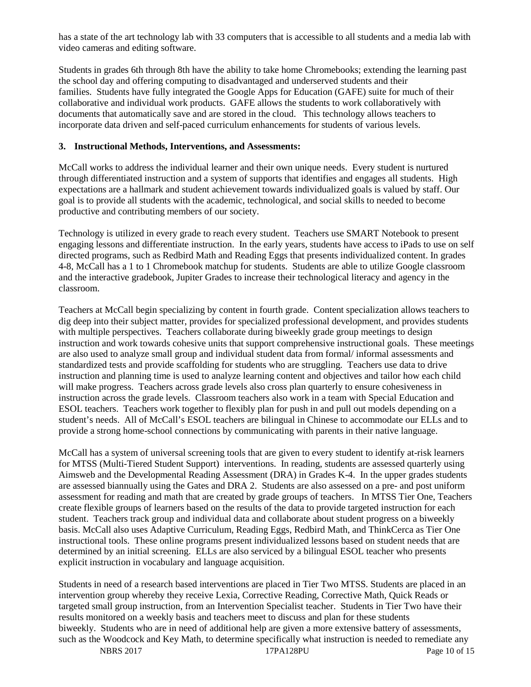has a state of the art technology lab with 33 computers that is accessible to all students and a media lab with video cameras and editing software.

Students in grades 6th through 8th have the ability to take home Chromebooks; extending the learning past the school day and offering computing to disadvantaged and underserved students and their families. Students have fully integrated the Google Apps for Education (GAFE) suite for much of their collaborative and individual work products. GAFE allows the students to work collaboratively with documents that automatically save and are stored in the cloud. This technology allows teachers to incorporate data driven and self-paced curriculum enhancements for students of various levels.

#### **3. Instructional Methods, Interventions, and Assessments:**

McCall works to address the individual learner and their own unique needs. Every student is nurtured through differentiated instruction and a system of supports that identifies and engages all students. High expectations are a hallmark and student achievement towards individualized goals is valued by staff. Our goal is to provide all students with the academic, technological, and social skills to needed to become productive and contributing members of our society.

Technology is utilized in every grade to reach every student. Teachers use SMART Notebook to present engaging lessons and differentiate instruction. In the early years, students have access to iPads to use on self directed programs, such as Redbird Math and Reading Eggs that presents individualized content. In grades 4-8, McCall has a 1 to 1 Chromebook matchup for students. Students are able to utilize Google classroom and the interactive gradebook, Jupiter Grades to increase their technological literacy and agency in the classroom.

Teachers at McCall begin specializing by content in fourth grade. Content specialization allows teachers to dig deep into their subject matter, provides for specialized professional development, and provides students with multiple perspectives. Teachers collaborate during biweekly grade group meetings to design instruction and work towards cohesive units that support comprehensive instructional goals. These meetings are also used to analyze small group and individual student data from formal/ informal assessments and standardized tests and provide scaffolding for students who are struggling. Teachers use data to drive instruction and planning time is used to analyze learning content and objectives and tailor how each child will make progress. Teachers across grade levels also cross plan quarterly to ensure cohesiveness in instruction across the grade levels. Classroom teachers also work in a team with Special Education and ESOL teachers. Teachers work together to flexibly plan for push in and pull out models depending on a student's needs. All of McCall's ESOL teachers are bilingual in Chinese to accommodate our ELLs and to provide a strong home-school connections by communicating with parents in their native language.

McCall has a system of universal screening tools that are given to every student to identify at-risk learners for MTSS (Multi-Tiered Student Support) interventions. In reading, students are assessed quarterly using Aimsweb and the Developmental Reading Assessment (DRA) in Grades K-4. In the upper grades students are assessed biannually using the Gates and DRA 2. Students are also assessed on a pre- and post uniform assessment for reading and math that are created by grade groups of teachers. In MTSS Tier One, Teachers create flexible groups of learners based on the results of the data to provide targeted instruction for each student. Teachers track group and individual data and collaborate about student progress on a biweekly basis. McCall also uses Adaptive Curriculum, Reading Eggs, Redbird Math, and ThinkCerca as Tier One instructional tools. These online programs present individualized lessons based on student needs that are determined by an initial screening. ELLs are also serviced by a bilingual ESOL teacher who presents explicit instruction in vocabulary and language acquisition.

Students in need of a research based interventions are placed in Tier Two MTSS. Students are placed in an intervention group whereby they receive Lexia, Corrective Reading, Corrective Math, Quick Reads or targeted small group instruction, from an Intervention Specialist teacher. Students in Tier Two have their results monitored on a weekly basis and teachers meet to discuss and plan for these students biweekly. Students who are in need of additional help are given a more extensive battery of assessments, such as the Woodcock and Key Math, to determine specifically what instruction is needed to remediate any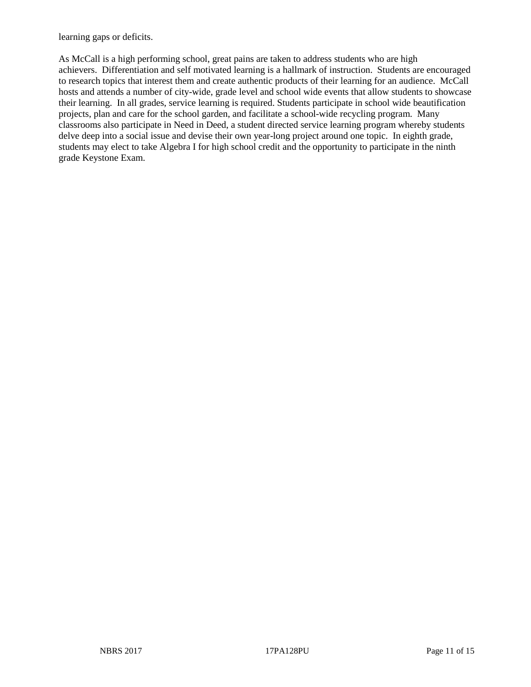learning gaps or deficits.

As McCall is a high performing school, great pains are taken to address students who are high achievers. Differentiation and self motivated learning is a hallmark of instruction. Students are encouraged to research topics that interest them and create authentic products of their learning for an audience. McCall hosts and attends a number of city-wide, grade level and school wide events that allow students to showcase their learning. In all grades, service learning is required. Students participate in school wide beautification projects, plan and care for the school garden, and facilitate a school-wide recycling program. Many classrooms also participate in Need in Deed, a student directed service learning program whereby students delve deep into a social issue and devise their own year-long project around one topic. In eighth grade, students may elect to take Algebra I for high school credit and the opportunity to participate in the ninth grade Keystone Exam.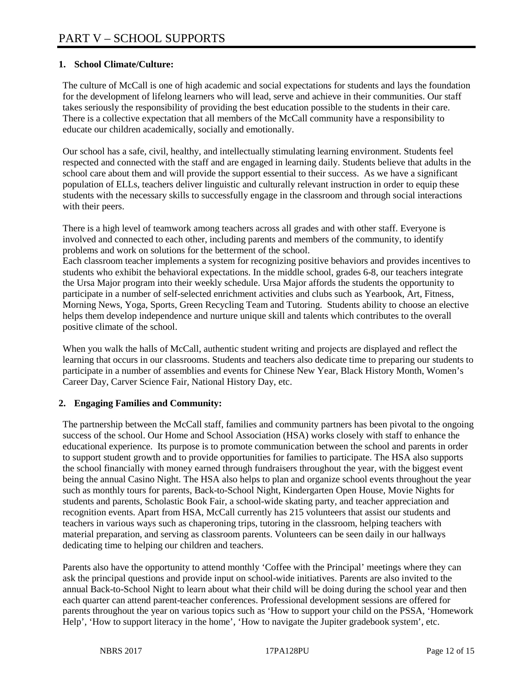## **1. School Climate/Culture:**

The culture of McCall is one of high academic and social expectations for students and lays the foundation for the development of lifelong learners who will lead, serve and achieve in their communities. Our staff takes seriously the responsibility of providing the best education possible to the students in their care. There is a collective expectation that all members of the McCall community have a responsibility to educate our children academically, socially and emotionally.

Our school has a safe, civil, healthy, and intellectually stimulating learning environment. Students feel respected and connected with the staff and are engaged in learning daily. Students believe that adults in the school care about them and will provide the support essential to their success. As we have a significant population of ELLs, teachers deliver linguistic and culturally relevant instruction in order to equip these students with the necessary skills to successfully engage in the classroom and through social interactions with their peers.

There is a high level of teamwork among teachers across all grades and with other staff. Everyone is involved and connected to each other, including parents and members of the community, to identify problems and work on solutions for the betterment of the school.

Each classroom teacher implements a system for recognizing positive behaviors and provides incentives to students who exhibit the behavioral expectations. In the middle school, grades 6-8, our teachers integrate the Ursa Major program into their weekly schedule. Ursa Major affords the students the opportunity to participate in a number of self-selected enrichment activities and clubs such as Yearbook, Art, Fitness, Morning News, Yoga, Sports, Green Recycling Team and Tutoring. Students ability to choose an elective helps them develop independence and nurture unique skill and talents which contributes to the overall positive climate of the school.

When you walk the halls of McCall, authentic student writing and projects are displayed and reflect the learning that occurs in our classrooms. Students and teachers also dedicate time to preparing our students to participate in a number of assemblies and events for Chinese New Year, Black History Month, Women's Career Day, Carver Science Fair, National History Day, etc.

## **2. Engaging Families and Community:**

The partnership between the McCall staff, families and community partners has been pivotal to the ongoing success of the school. Our Home and School Association (HSA) works closely with staff to enhance the educational experience. Its purpose is to promote communication between the school and parents in order to support student growth and to provide opportunities for families to participate. The HSA also supports the school financially with money earned through fundraisers throughout the year, with the biggest event being the annual Casino Night. The HSA also helps to plan and organize school events throughout the year such as monthly tours for parents, Back-to-School Night, Kindergarten Open House, Movie Nights for students and parents, Scholastic Book Fair, a school-wide skating party, and teacher appreciation and recognition events. Apart from HSA, McCall currently has 215 volunteers that assist our students and teachers in various ways such as chaperoning trips, tutoring in the classroom, helping teachers with material preparation, and serving as classroom parents. Volunteers can be seen daily in our hallways dedicating time to helping our children and teachers.

Parents also have the opportunity to attend monthly 'Coffee with the Principal' meetings where they can ask the principal questions and provide input on school-wide initiatives. Parents are also invited to the annual Back-to-School Night to learn about what their child will be doing during the school year and then each quarter can attend parent-teacher conferences. Professional development sessions are offered for parents throughout the year on various topics such as 'How to support your child on the PSSA, 'Homework Help', 'How to support literacy in the home', 'How to navigate the Jupiter gradebook system', etc.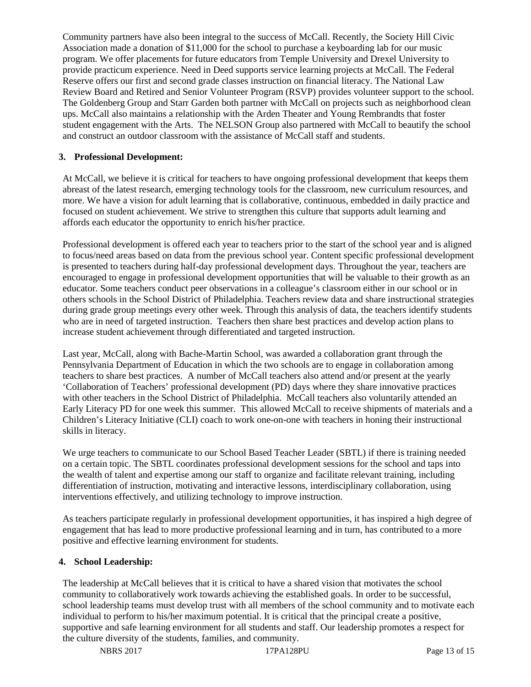Community partners have also been integral to the success of McCall. Recently, the Society Hill Civic Association made a donation of \$11,000 for the school to purchase a keyboarding lab for our music program. We offer placements for future educators from Temple University and Drexel University to provide practicum experience. Need in Deed supports service learning projects at McCall. The Federal Reserve offers our first and second grade classes instruction on financial literacy. The National Law Review Board and Retired and Senior Volunteer Program (RSVP) provides volunteer support to the school. The Goldenberg Group and Starr Garden both partner with McCall on projects such as neighborhood clean ups. McCall also maintains a relationship with the Arden Theater and Young Rembrandts that foster student engagement with the Arts. The NELSON Group also partnered with McCall to beautify the school and construct an outdoor classroom with the assistance of McCall staff and students.

## **3. Professional Development:**

At McCall, we believe it is critical for teachers to have ongoing professional development that keeps them abreast of the latest research, emerging technology tools for the classroom, new curriculum resources, and more. We have a vision for adult learning that is collaborative, continuous, embedded in daily practice and focused on student achievement. We strive to strengthen this culture that supports adult learning and affords each educator the opportunity to enrich his/her practice.

Professional development is offered each year to teachers prior to the start of the school year and is aligned to focus/need areas based on data from the previous school year. Content specific professional development is presented to teachers during half-day professional development days. Throughout the year, teachers are encouraged to engage in professional development opportunities that will be valuable to their growth as an educator. Some teachers conduct peer observations in a colleague's classroom either in our school or in others schools in the School District of Philadelphia. Teachers review data and share instructional strategies during grade group meetings every other week. Through this analysis of data, the teachers identify students who are in need of targeted instruction. Teachers then share best practices and develop action plans to increase student achievement through differentiated and targeted instruction.

Last year, McCall, along with Bache-Martin School, was awarded a collaboration grant through the Pennsylvania Department of Education in which the two schools are to engage in collaboration among teachers to share best practices. A number of McCall teachers also attend and/or present at the yearly 'Collaboration of Teachers' professional development (PD) days where they share innovative practices with other teachers in the School District of Philadelphia. McCall teachers also voluntarily attended an Early Literacy PD for one week this summer. This allowed McCall to receive shipments of materials and a Children's Literacy Initiative (CLI) coach to work one-on-one with teachers in honing their instructional skills in literacy.

We urge teachers to communicate to our School Based Teacher Leader (SBTL) if there is training needed on a certain topic. The SBTL coordinates professional development sessions for the school and taps into the wealth of talent and expertise among our staff to organize and facilitate relevant training, including differentiation of instruction, motivating and interactive lessons, interdisciplinary collaboration, using interventions effectively, and utilizing technology to improve instruction.

As teachers participate regularly in professional development opportunities, it has inspired a high degree of engagement that has lead to more productive professional learning and in turn, has contributed to a more positive and effective learning environment for students.

#### **4. School Leadership:**

The leadership at McCall believes that it is critical to have a shared vision that motivates the school community to collaboratively work towards achieving the established goals. In order to be successful, school leadership teams must develop trust with all members of the school community and to motivate each individual to perform to his/her maximum potential. It is critical that the principal create a positive, supportive and safe learning environment for all students and staff. Our leadership promotes a respect for the culture diversity of the students, families, and community.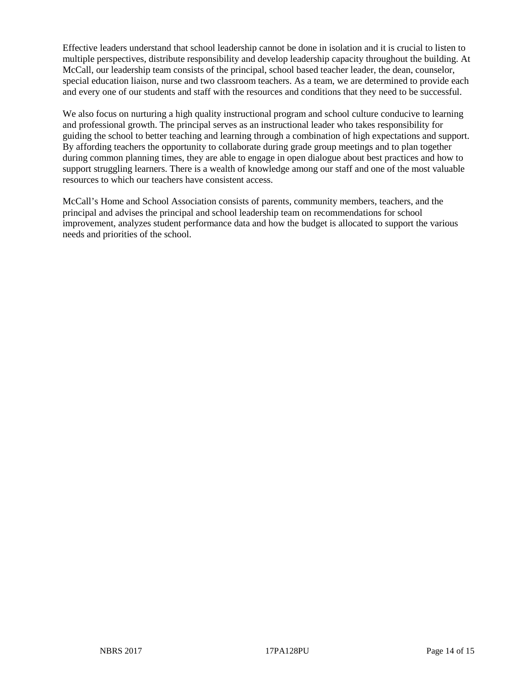Effective leaders understand that school leadership cannot be done in isolation and it is crucial to listen to multiple perspectives, distribute responsibility and develop leadership capacity throughout the building. At McCall, our leadership team consists of the principal, school based teacher leader, the dean, counselor, special education liaison, nurse and two classroom teachers. As a team, we are determined to provide each and every one of our students and staff with the resources and conditions that they need to be successful.

We also focus on nurturing a high quality instructional program and school culture conducive to learning and professional growth. The principal serves as an instructional leader who takes responsibility for guiding the school to better teaching and learning through a combination of high expectations and support. By affording teachers the opportunity to collaborate during grade group meetings and to plan together during common planning times, they are able to engage in open dialogue about best practices and how to support struggling learners. There is a wealth of knowledge among our staff and one of the most valuable resources to which our teachers have consistent access.

McCall's Home and School Association consists of parents, community members, teachers, and the principal and advises the principal and school leadership team on recommendations for school improvement, analyzes student performance data and how the budget is allocated to support the various needs and priorities of the school.